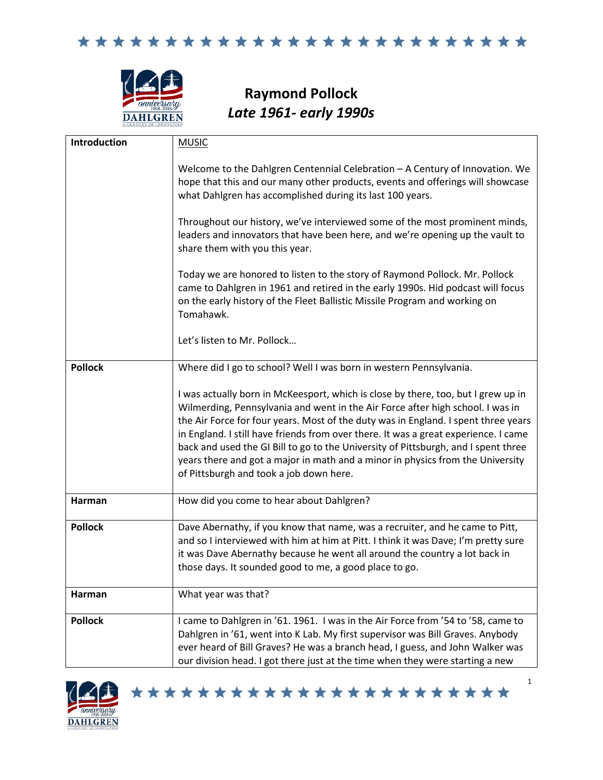

**Raymond Pollock** *Late 1961- early 1990s*

| Introduction   | <b>MUSIC</b>                                                                                                                                                                                                                                                                                                                                                                                                                                                                                                                                                        |
|----------------|---------------------------------------------------------------------------------------------------------------------------------------------------------------------------------------------------------------------------------------------------------------------------------------------------------------------------------------------------------------------------------------------------------------------------------------------------------------------------------------------------------------------------------------------------------------------|
|                | Welcome to the Dahlgren Centennial Celebration - A Century of Innovation. We<br>hope that this and our many other products, events and offerings will showcase<br>what Dahlgren has accomplished during its last 100 years.                                                                                                                                                                                                                                                                                                                                         |
|                | Throughout our history, we've interviewed some of the most prominent minds,<br>leaders and innovators that have been here, and we're opening up the vault to<br>share them with you this year.                                                                                                                                                                                                                                                                                                                                                                      |
|                | Today we are honored to listen to the story of Raymond Pollock. Mr. Pollock<br>came to Dahlgren in 1961 and retired in the early 1990s. Hid podcast will focus<br>on the early history of the Fleet Ballistic Missile Program and working on<br>Tomahawk.                                                                                                                                                                                                                                                                                                           |
|                | Let's listen to Mr. Pollock                                                                                                                                                                                                                                                                                                                                                                                                                                                                                                                                         |
| <b>Pollock</b> | Where did I go to school? Well I was born in western Pennsylvania.                                                                                                                                                                                                                                                                                                                                                                                                                                                                                                  |
|                | I was actually born in McKeesport, which is close by there, too, but I grew up in<br>Wilmerding, Pennsylvania and went in the Air Force after high school. I was in<br>the Air Force for four years. Most of the duty was in England. I spent three years<br>in England. I still have friends from over there. It was a great experience. I came<br>back and used the GI Bill to go to the University of Pittsburgh, and I spent three<br>years there and got a major in math and a minor in physics from the University<br>of Pittsburgh and took a job down here. |
| Harman         | How did you come to hear about Dahlgren?                                                                                                                                                                                                                                                                                                                                                                                                                                                                                                                            |
| <b>Pollock</b> | Dave Abernathy, if you know that name, was a recruiter, and he came to Pitt,<br>and so I interviewed with him at him at Pitt. I think it was Dave; I'm pretty sure<br>it was Dave Abernathy because he went all around the country a lot back in<br>those days. It sounded good to me, a good place to go.                                                                                                                                                                                                                                                          |
| Harman         | What year was that?                                                                                                                                                                                                                                                                                                                                                                                                                                                                                                                                                 |
| <b>Pollock</b> | I came to Dahlgren in '61. 1961. I was in the Air Force from '54 to '58, came to<br>Dahlgren in '61, went into K Lab. My first supervisor was Bill Graves. Anybody<br>ever heard of Bill Graves? He was a branch head, I guess, and John Walker was<br>our division head. I got there just at the time when they were starting a new                                                                                                                                                                                                                                |



\*\*\*\*\*\*\*\*\*\*\*\*\*\*\*\*\*\*\*\*\*\*\*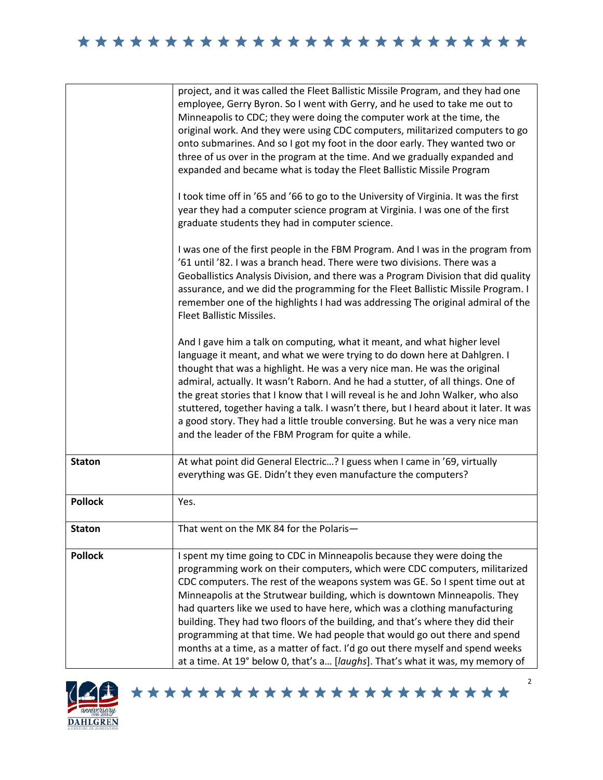|                | project, and it was called the Fleet Ballistic Missile Program, and they had one<br>employee, Gerry Byron. So I went with Gerry, and he used to take me out to<br>Minneapolis to CDC; they were doing the computer work at the time, the<br>original work. And they were using CDC computers, militarized computers to go<br>onto submarines. And so I got my foot in the door early. They wanted two or<br>three of us over in the program at the time. And we gradually expanded and<br>expanded and became what is today the Fleet Ballistic Missile Program<br>I took time off in '65 and '66 to go to the University of Virginia. It was the first<br>year they had a computer science program at Virginia. I was one of the first<br>graduate students they had in computer science.<br>I was one of the first people in the FBM Program. And I was in the program from<br>'61 until '82. I was a branch head. There were two divisions. There was a<br>Geoballistics Analysis Division, and there was a Program Division that did quality<br>assurance, and we did the programming for the Fleet Ballistic Missile Program. I<br>remember one of the highlights I had was addressing The original admiral of the<br>Fleet Ballistic Missiles.<br>And I gave him a talk on computing, what it meant, and what higher level<br>language it meant, and what we were trying to do down here at Dahlgren. I<br>thought that was a highlight. He was a very nice man. He was the original<br>admiral, actually. It wasn't Raborn. And he had a stutter, of all things. One of<br>the great stories that I know that I will reveal is he and John Walker, who also<br>stuttered, together having a talk. I wasn't there, but I heard about it later. It was<br>a good story. They had a little trouble conversing. But he was a very nice man<br>and the leader of the FBM Program for quite a while. |
|----------------|-------------------------------------------------------------------------------------------------------------------------------------------------------------------------------------------------------------------------------------------------------------------------------------------------------------------------------------------------------------------------------------------------------------------------------------------------------------------------------------------------------------------------------------------------------------------------------------------------------------------------------------------------------------------------------------------------------------------------------------------------------------------------------------------------------------------------------------------------------------------------------------------------------------------------------------------------------------------------------------------------------------------------------------------------------------------------------------------------------------------------------------------------------------------------------------------------------------------------------------------------------------------------------------------------------------------------------------------------------------------------------------------------------------------------------------------------------------------------------------------------------------------------------------------------------------------------------------------------------------------------------------------------------------------------------------------------------------------------------------------------------------------------------------------------------------------------------------------------------------------------------------------------------|
| <b>Staton</b>  | At what point did General Electric? I guess when I came in '69, virtually<br>everything was GE. Didn't they even manufacture the computers?                                                                                                                                                                                                                                                                                                                                                                                                                                                                                                                                                                                                                                                                                                                                                                                                                                                                                                                                                                                                                                                                                                                                                                                                                                                                                                                                                                                                                                                                                                                                                                                                                                                                                                                                                           |
| <b>Pollock</b> | Yes.                                                                                                                                                                                                                                                                                                                                                                                                                                                                                                                                                                                                                                                                                                                                                                                                                                                                                                                                                                                                                                                                                                                                                                                                                                                                                                                                                                                                                                                                                                                                                                                                                                                                                                                                                                                                                                                                                                  |
| <b>Staton</b>  | That went on the MK 84 for the Polaris-                                                                                                                                                                                                                                                                                                                                                                                                                                                                                                                                                                                                                                                                                                                                                                                                                                                                                                                                                                                                                                                                                                                                                                                                                                                                                                                                                                                                                                                                                                                                                                                                                                                                                                                                                                                                                                                               |
| <b>Pollock</b> | I spent my time going to CDC in Minneapolis because they were doing the<br>programming work on their computers, which were CDC computers, militarized<br>CDC computers. The rest of the weapons system was GE. So I spent time out at<br>Minneapolis at the Strutwear building, which is downtown Minneapolis. They<br>had quarters like we used to have here, which was a clothing manufacturing<br>building. They had two floors of the building, and that's where they did their<br>programming at that time. We had people that would go out there and spend<br>months at a time, as a matter of fact. I'd go out there myself and spend weeks<br>at a time. At 19° below 0, that's a [laughs]. That's what it was, my memory of                                                                                                                                                                                                                                                                                                                                                                                                                                                                                                                                                                                                                                                                                                                                                                                                                                                                                                                                                                                                                                                                                                                                                                  |



\*\*\*\*\*\*\*\*\*\*\*\*\*\*\*\*\*\*\*\*\*\*\*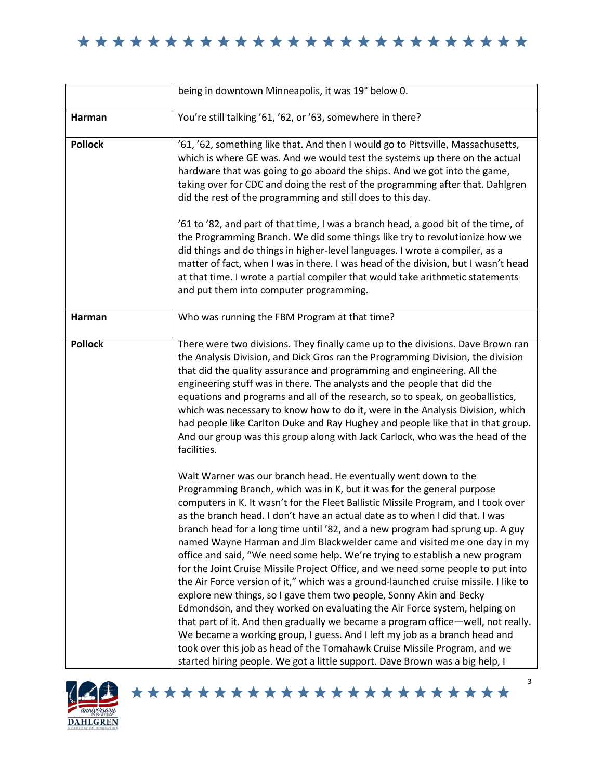|                | being in downtown Minneapolis, it was 19° below 0.                                                                                                                                                                                                                                                                                                                                                                                                                                                                                                                                                                                                                                                                                                                                                                                                                                                                                                                                                                                                                                                                                                                                                                         |
|----------------|----------------------------------------------------------------------------------------------------------------------------------------------------------------------------------------------------------------------------------------------------------------------------------------------------------------------------------------------------------------------------------------------------------------------------------------------------------------------------------------------------------------------------------------------------------------------------------------------------------------------------------------------------------------------------------------------------------------------------------------------------------------------------------------------------------------------------------------------------------------------------------------------------------------------------------------------------------------------------------------------------------------------------------------------------------------------------------------------------------------------------------------------------------------------------------------------------------------------------|
| Harman         | You're still talking '61, '62, or '63, somewhere in there?                                                                                                                                                                                                                                                                                                                                                                                                                                                                                                                                                                                                                                                                                                                                                                                                                                                                                                                                                                                                                                                                                                                                                                 |
| <b>Pollock</b> | '61, '62, something like that. And then I would go to Pittsville, Massachusetts,<br>which is where GE was. And we would test the systems up there on the actual<br>hardware that was going to go aboard the ships. And we got into the game,<br>taking over for CDC and doing the rest of the programming after that. Dahlgren<br>did the rest of the programming and still does to this day.<br>'61 to '82, and part of that time, I was a branch head, a good bit of the time, of                                                                                                                                                                                                                                                                                                                                                                                                                                                                                                                                                                                                                                                                                                                                        |
|                | the Programming Branch. We did some things like try to revolutionize how we<br>did things and do things in higher-level languages. I wrote a compiler, as a<br>matter of fact, when I was in there. I was head of the division, but I wasn't head<br>at that time. I wrote a partial compiler that would take arithmetic statements<br>and put them into computer programming.                                                                                                                                                                                                                                                                                                                                                                                                                                                                                                                                                                                                                                                                                                                                                                                                                                             |
| Harman         | Who was running the FBM Program at that time?                                                                                                                                                                                                                                                                                                                                                                                                                                                                                                                                                                                                                                                                                                                                                                                                                                                                                                                                                                                                                                                                                                                                                                              |
| <b>Pollock</b> | There were two divisions. They finally came up to the divisions. Dave Brown ran<br>the Analysis Division, and Dick Gros ran the Programming Division, the division<br>that did the quality assurance and programming and engineering. All the<br>engineering stuff was in there. The analysts and the people that did the<br>equations and programs and all of the research, so to speak, on geoballistics,<br>which was necessary to know how to do it, were in the Analysis Division, which<br>had people like Carlton Duke and Ray Hughey and people like that in that group.<br>And our group was this group along with Jack Carlock, who was the head of the<br>facilities.                                                                                                                                                                                                                                                                                                                                                                                                                                                                                                                                           |
|                | Walt Warner was our branch head. He eventually went down to the<br>Programming Branch, which was in K, but it was for the general purpose<br>computers in K. It wasn't for the Fleet Ballistic Missile Program, and I took over<br>as the branch head. I don't have an actual date as to when I did that. I was<br>branch head for a long time until '82, and a new program had sprung up. A guy<br>named Wayne Harman and Jim Blackwelder came and visited me one day in my<br>office and said, "We need some help. We're trying to establish a new program<br>for the Joint Cruise Missile Project Office, and we need some people to put into<br>the Air Force version of it," which was a ground-launched cruise missile. I like to<br>explore new things, so I gave them two people, Sonny Akin and Becky<br>Edmondson, and they worked on evaluating the Air Force system, helping on<br>that part of it. And then gradually we became a program office-well, not really.<br>We became a working group, I guess. And I left my job as a branch head and<br>took over this job as head of the Tomahawk Cruise Missile Program, and we<br>started hiring people. We got a little support. Dave Brown was a big help, I |

\*\*\*\*\*\*\*\*\*\*\*\*\*\*\*\*\*\*\*\*\*\*\*

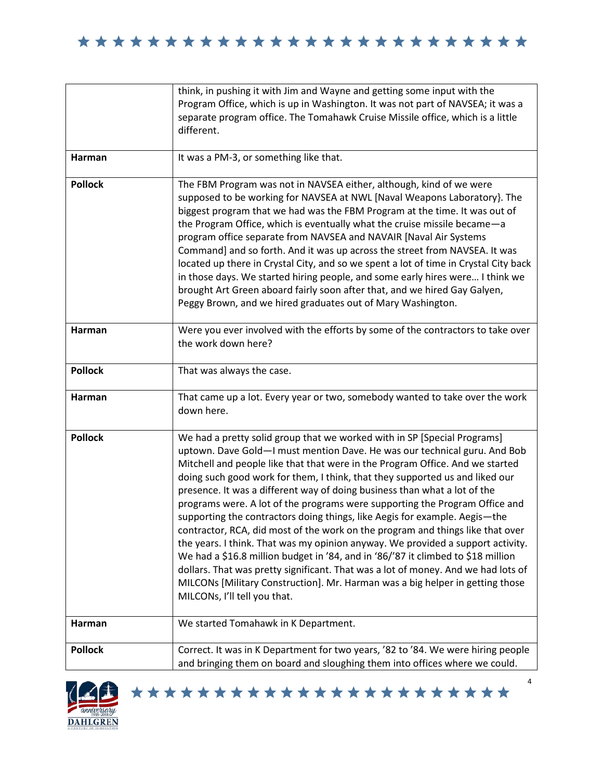|                | think, in pushing it with Jim and Wayne and getting some input with the<br>Program Office, which is up in Washington. It was not part of NAVSEA; it was a<br>separate program office. The Tomahawk Cruise Missile office, which is a little<br>different.                                                                                                                                                                                                                                                                                                                                                                                                                                                                                                                                                                                                                                                                                                                                                                       |
|----------------|---------------------------------------------------------------------------------------------------------------------------------------------------------------------------------------------------------------------------------------------------------------------------------------------------------------------------------------------------------------------------------------------------------------------------------------------------------------------------------------------------------------------------------------------------------------------------------------------------------------------------------------------------------------------------------------------------------------------------------------------------------------------------------------------------------------------------------------------------------------------------------------------------------------------------------------------------------------------------------------------------------------------------------|
| Harman         | It was a PM-3, or something like that.                                                                                                                                                                                                                                                                                                                                                                                                                                                                                                                                                                                                                                                                                                                                                                                                                                                                                                                                                                                          |
| <b>Pollock</b> | The FBM Program was not in NAVSEA either, although, kind of we were<br>supposed to be working for NAVSEA at NWL [Naval Weapons Laboratory]. The<br>biggest program that we had was the FBM Program at the time. It was out of<br>the Program Office, which is eventually what the cruise missile became-a<br>program office separate from NAVSEA and NAVAIR [Naval Air Systems<br>Command] and so forth. And it was up across the street from NAVSEA. It was<br>located up there in Crystal City, and so we spent a lot of time in Crystal City back<br>in those days. We started hiring people, and some early hires were I think we<br>brought Art Green aboard fairly soon after that, and we hired Gay Galyen,<br>Peggy Brown, and we hired graduates out of Mary Washington.                                                                                                                                                                                                                                               |
| Harman         | Were you ever involved with the efforts by some of the contractors to take over<br>the work down here?                                                                                                                                                                                                                                                                                                                                                                                                                                                                                                                                                                                                                                                                                                                                                                                                                                                                                                                          |
| <b>Pollock</b> | That was always the case.                                                                                                                                                                                                                                                                                                                                                                                                                                                                                                                                                                                                                                                                                                                                                                                                                                                                                                                                                                                                       |
| Harman         | That came up a lot. Every year or two, somebody wanted to take over the work<br>down here.                                                                                                                                                                                                                                                                                                                                                                                                                                                                                                                                                                                                                                                                                                                                                                                                                                                                                                                                      |
| <b>Pollock</b> | We had a pretty solid group that we worked with in SP [Special Programs]<br>uptown. Dave Gold-I must mention Dave. He was our technical guru. And Bob<br>Mitchell and people like that that were in the Program Office. And we started<br>doing such good work for them, I think, that they supported us and liked our<br>presence. It was a different way of doing business than what a lot of the<br>programs were. A lot of the programs were supporting the Program Office and<br>supporting the contractors doing things, like Aegis for example. Aegis-the<br>contractor, RCA, did most of the work on the program and things like that over<br>the years. I think. That was my opinion anyway. We provided a support activity.<br>We had a \$16.8 million budget in '84, and in '86/'87 it climbed to \$18 million<br>dollars. That was pretty significant. That was a lot of money. And we had lots of<br>MILCONs [Military Construction]. Mr. Harman was a big helper in getting those<br>MILCONs, I'll tell you that. |
| Harman         | We started Tomahawk in K Department.                                                                                                                                                                                                                                                                                                                                                                                                                                                                                                                                                                                                                                                                                                                                                                                                                                                                                                                                                                                            |
| <b>Pollock</b> | Correct. It was in K Department for two years, '82 to '84. We were hiring people<br>and bringing them on board and sloughing them into offices where we could.                                                                                                                                                                                                                                                                                                                                                                                                                                                                                                                                                                                                                                                                                                                                                                                                                                                                  |



\*\*\*\*\*\*\*\*\*\*\*\*\*\*\*\*\*\*\*\*\*\*\*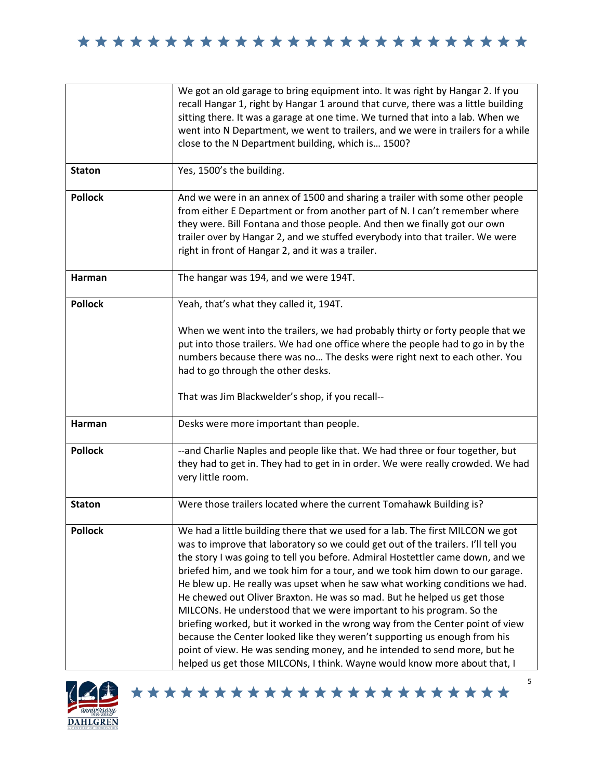|                | We got an old garage to bring equipment into. It was right by Hangar 2. If you<br>recall Hangar 1, right by Hangar 1 around that curve, there was a little building<br>sitting there. It was a garage at one time. We turned that into a lab. When we<br>went into N Department, we went to trailers, and we were in trailers for a while<br>close to the N Department building, which is 1500?                                                                                                                                                                                                                                                                                                                                                                                                                                                                                                 |
|----------------|-------------------------------------------------------------------------------------------------------------------------------------------------------------------------------------------------------------------------------------------------------------------------------------------------------------------------------------------------------------------------------------------------------------------------------------------------------------------------------------------------------------------------------------------------------------------------------------------------------------------------------------------------------------------------------------------------------------------------------------------------------------------------------------------------------------------------------------------------------------------------------------------------|
| <b>Staton</b>  | Yes, 1500's the building.                                                                                                                                                                                                                                                                                                                                                                                                                                                                                                                                                                                                                                                                                                                                                                                                                                                                       |
| <b>Pollock</b> | And we were in an annex of 1500 and sharing a trailer with some other people<br>from either E Department or from another part of N. I can't remember where<br>they were. Bill Fontana and those people. And then we finally got our own<br>trailer over by Hangar 2, and we stuffed everybody into that trailer. We were<br>right in front of Hangar 2, and it was a trailer.                                                                                                                                                                                                                                                                                                                                                                                                                                                                                                                   |
| Harman         | The hangar was 194, and we were 194T.                                                                                                                                                                                                                                                                                                                                                                                                                                                                                                                                                                                                                                                                                                                                                                                                                                                           |
| <b>Pollock</b> | Yeah, that's what they called it, 194T.                                                                                                                                                                                                                                                                                                                                                                                                                                                                                                                                                                                                                                                                                                                                                                                                                                                         |
|                | When we went into the trailers, we had probably thirty or forty people that we<br>put into those trailers. We had one office where the people had to go in by the<br>numbers because there was no The desks were right next to each other. You<br>had to go through the other desks.                                                                                                                                                                                                                                                                                                                                                                                                                                                                                                                                                                                                            |
|                | That was Jim Blackwelder's shop, if you recall--                                                                                                                                                                                                                                                                                                                                                                                                                                                                                                                                                                                                                                                                                                                                                                                                                                                |
| Harman         | Desks were more important than people.                                                                                                                                                                                                                                                                                                                                                                                                                                                                                                                                                                                                                                                                                                                                                                                                                                                          |
| <b>Pollock</b> | --and Charlie Naples and people like that. We had three or four together, but<br>they had to get in. They had to get in in order. We were really crowded. We had<br>very little room.                                                                                                                                                                                                                                                                                                                                                                                                                                                                                                                                                                                                                                                                                                           |
| <b>Staton</b>  | Were those trailers located where the current Tomahawk Building is?                                                                                                                                                                                                                                                                                                                                                                                                                                                                                                                                                                                                                                                                                                                                                                                                                             |
| <b>Pollock</b> | We had a little building there that we used for a lab. The first MILCON we got<br>was to improve that laboratory so we could get out of the trailers. I'll tell you<br>the story I was going to tell you before. Admiral Hostettler came down, and we<br>briefed him, and we took him for a tour, and we took him down to our garage.<br>He blew up. He really was upset when he saw what working conditions we had.<br>He chewed out Oliver Braxton. He was so mad. But he helped us get those<br>MILCONs. He understood that we were important to his program. So the<br>briefing worked, but it worked in the wrong way from the Center point of view<br>because the Center looked like they weren't supporting us enough from his<br>point of view. He was sending money, and he intended to send more, but he<br>helped us get those MILCONs, I think. Wayne would know more about that, I |

\*\*\*\*\*\*\*\*\*\*\*\*\*\*\*\*\*\*\*\*\*\*\*

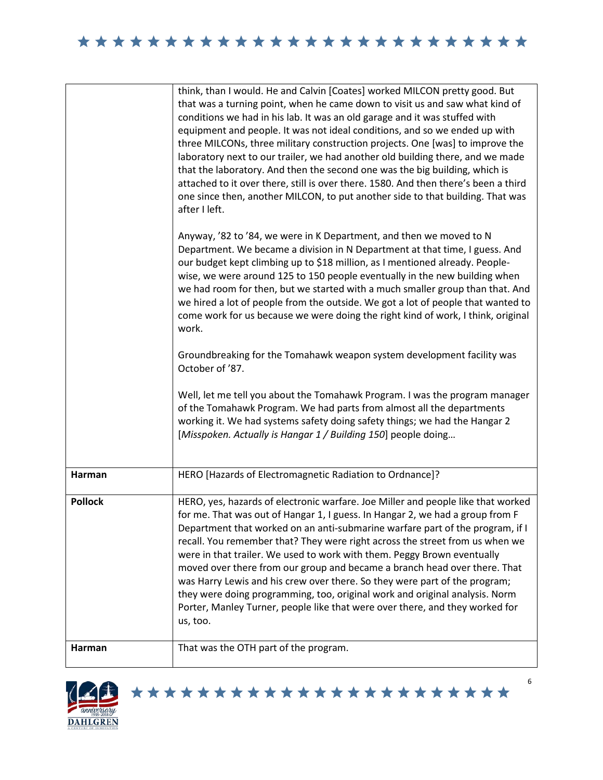|                | think, than I would. He and Calvin [Coates] worked MILCON pretty good. But<br>that was a turning point, when he came down to visit us and saw what kind of<br>conditions we had in his lab. It was an old garage and it was stuffed with<br>equipment and people. It was not ideal conditions, and so we ended up with<br>three MILCONs, three military construction projects. One [was] to improve the<br>laboratory next to our trailer, we had another old building there, and we made<br>that the laboratory. And then the second one was the big building, which is<br>attached to it over there, still is over there. 1580. And then there's been a third<br>one since then, another MILCON, to put another side to that building. That was<br>after I left. |
|----------------|--------------------------------------------------------------------------------------------------------------------------------------------------------------------------------------------------------------------------------------------------------------------------------------------------------------------------------------------------------------------------------------------------------------------------------------------------------------------------------------------------------------------------------------------------------------------------------------------------------------------------------------------------------------------------------------------------------------------------------------------------------------------|
|                | Anyway, '82 to '84, we were in K Department, and then we moved to N<br>Department. We became a division in N Department at that time, I guess. And<br>our budget kept climbing up to \$18 million, as I mentioned already. People-<br>wise, we were around 125 to 150 people eventually in the new building when<br>we had room for then, but we started with a much smaller group than that. And<br>we hired a lot of people from the outside. We got a lot of people that wanted to<br>come work for us because we were doing the right kind of work, I think, original<br>work.                                                                                                                                                                                 |
|                | Groundbreaking for the Tomahawk weapon system development facility was<br>October of '87.                                                                                                                                                                                                                                                                                                                                                                                                                                                                                                                                                                                                                                                                          |
|                | Well, let me tell you about the Tomahawk Program. I was the program manager<br>of the Tomahawk Program. We had parts from almost all the departments<br>working it. We had systems safety doing safety things; we had the Hangar 2<br>[Misspoken. Actually is Hangar 1 / Building 150] people doing                                                                                                                                                                                                                                                                                                                                                                                                                                                                |
| Harman         | HERO [Hazards of Electromagnetic Radiation to Ordnance]?                                                                                                                                                                                                                                                                                                                                                                                                                                                                                                                                                                                                                                                                                                           |
| <b>Pollock</b> | HERO, yes, hazards of electronic warfare. Joe Miller and people like that worked<br>for me. That was out of Hangar 1, I guess. In Hangar 2, we had a group from F<br>Department that worked on an anti-submarine warfare part of the program, if I<br>recall. You remember that? They were right across the street from us when we<br>were in that trailer. We used to work with them. Peggy Brown eventually<br>moved over there from our group and became a branch head over there. That<br>was Harry Lewis and his crew over there. So they were part of the program;<br>they were doing programming, too, original work and original analysis. Norm<br>Porter, Manley Turner, people like that were over there, and they worked for<br>us, too.                |
| Harman         | That was the OTH part of the program.                                                                                                                                                                                                                                                                                                                                                                                                                                                                                                                                                                                                                                                                                                                              |



\*\*\*\*\*\*\*\*\*\*\*\*\*\*\*\*\*\*\*\*\*\*\*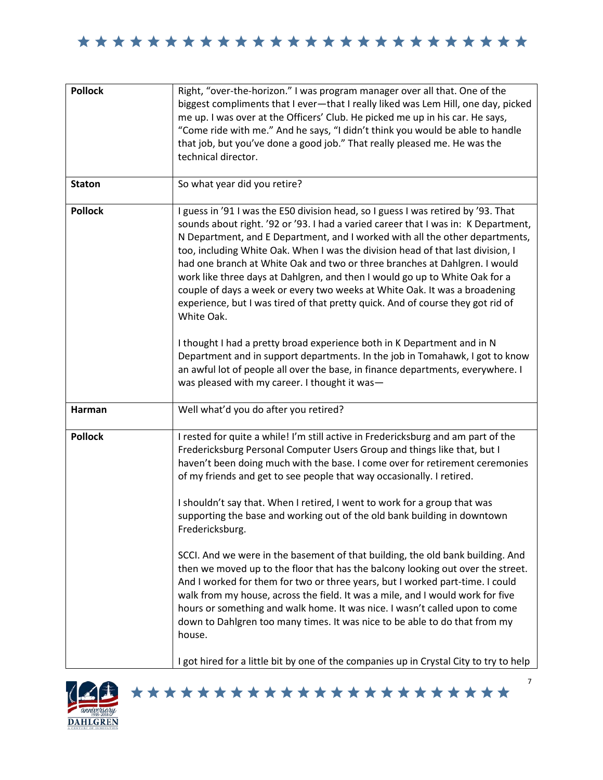| <b>Pollock</b> | Right, "over-the-horizon." I was program manager over all that. One of the<br>biggest compliments that I ever-that I really liked was Lem Hill, one day, picked<br>me up. I was over at the Officers' Club. He picked me up in his car. He says,<br>"Come ride with me." And he says, "I didn't think you would be able to handle<br>that job, but you've done a good job." That really pleased me. He was the<br>technical director.                                                                                                                                                                                                                                                                                                                                                                                                                                                                                                                                                                                                                                                                       |
|----------------|-------------------------------------------------------------------------------------------------------------------------------------------------------------------------------------------------------------------------------------------------------------------------------------------------------------------------------------------------------------------------------------------------------------------------------------------------------------------------------------------------------------------------------------------------------------------------------------------------------------------------------------------------------------------------------------------------------------------------------------------------------------------------------------------------------------------------------------------------------------------------------------------------------------------------------------------------------------------------------------------------------------------------------------------------------------------------------------------------------------|
| <b>Staton</b>  | So what year did you retire?                                                                                                                                                                                                                                                                                                                                                                                                                                                                                                                                                                                                                                                                                                                                                                                                                                                                                                                                                                                                                                                                                |
| <b>Pollock</b> | I guess in '91 I was the E50 division head, so I guess I was retired by '93. That<br>sounds about right. '92 or '93. I had a varied career that I was in: K Department,<br>N Department, and E Department, and I worked with all the other departments,<br>too, including White Oak. When I was the division head of that last division, I<br>had one branch at White Oak and two or three branches at Dahlgren. I would<br>work like three days at Dahlgren, and then I would go up to White Oak for a<br>couple of days a week or every two weeks at White Oak. It was a broadening<br>experience, but I was tired of that pretty quick. And of course they got rid of<br>White Oak.<br>I thought I had a pretty broad experience both in K Department and in N<br>Department and in support departments. In the job in Tomahawk, I got to know<br>an awful lot of people all over the base, in finance departments, everywhere. I                                                                                                                                                                        |
|                | was pleased with my career. I thought it was-                                                                                                                                                                                                                                                                                                                                                                                                                                                                                                                                                                                                                                                                                                                                                                                                                                                                                                                                                                                                                                                               |
| Harman         | Well what'd you do after you retired?                                                                                                                                                                                                                                                                                                                                                                                                                                                                                                                                                                                                                                                                                                                                                                                                                                                                                                                                                                                                                                                                       |
| <b>Pollock</b> | I rested for quite a while! I'm still active in Fredericksburg and am part of the<br>Fredericksburg Personal Computer Users Group and things like that, but I<br>haven't been doing much with the base. I come over for retirement ceremonies<br>of my friends and get to see people that way occasionally. I retired.<br>I shouldn't say that. When I retired, I went to work for a group that was<br>supporting the base and working out of the old bank building in downtown<br>Fredericksburg.<br>SCCI. And we were in the basement of that building, the old bank building. And<br>then we moved up to the floor that has the balcony looking out over the street.<br>And I worked for them for two or three years, but I worked part-time. I could<br>walk from my house, across the field. It was a mile, and I would work for five<br>hours or something and walk home. It was nice. I wasn't called upon to come<br>down to Dahlgren too many times. It was nice to be able to do that from my<br>house.<br>I got hired for a little bit by one of the companies up in Crystal City to try to help |
|                |                                                                                                                                                                                                                                                                                                                                                                                                                                                                                                                                                                                                                                                                                                                                                                                                                                                                                                                                                                                                                                                                                                             |

\*\*\*\*\*\*\*\*\*\*\*\*\*\*\*\*\*\*\*\*\*\*\*

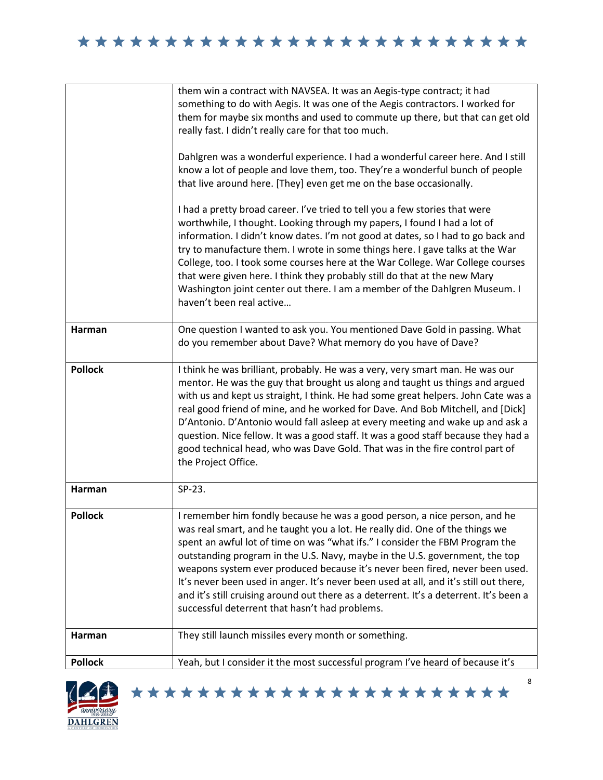|                | them win a contract with NAVSEA. It was an Aegis-type contract; it had<br>something to do with Aegis. It was one of the Aegis contractors. I worked for<br>them for maybe six months and used to commute up there, but that can get old<br>really fast. I didn't really care for that too much.<br>Dahlgren was a wonderful experience. I had a wonderful career here. And I still<br>know a lot of people and love them, too. They're a wonderful bunch of people<br>that live around here. [They] even get me on the base occasionally.<br>I had a pretty broad career. I've tried to tell you a few stories that were<br>worthwhile, I thought. Looking through my papers, I found I had a lot of |
|----------------|------------------------------------------------------------------------------------------------------------------------------------------------------------------------------------------------------------------------------------------------------------------------------------------------------------------------------------------------------------------------------------------------------------------------------------------------------------------------------------------------------------------------------------------------------------------------------------------------------------------------------------------------------------------------------------------------------|
|                | information. I didn't know dates. I'm not good at dates, so I had to go back and<br>try to manufacture them. I wrote in some things here. I gave talks at the War<br>College, too. I took some courses here at the War College. War College courses<br>that were given here. I think they probably still do that at the new Mary<br>Washington joint center out there. I am a member of the Dahlgren Museum. I<br>haven't been real active                                                                                                                                                                                                                                                           |
| Harman         | One question I wanted to ask you. You mentioned Dave Gold in passing. What<br>do you remember about Dave? What memory do you have of Dave?                                                                                                                                                                                                                                                                                                                                                                                                                                                                                                                                                           |
| <b>Pollock</b> | I think he was brilliant, probably. He was a very, very smart man. He was our<br>mentor. He was the guy that brought us along and taught us things and argued<br>with us and kept us straight, I think. He had some great helpers. John Cate was a<br>real good friend of mine, and he worked for Dave. And Bob Mitchell, and [Dick]<br>D'Antonio. D'Antonio would fall asleep at every meeting and wake up and ask a<br>question. Nice fellow. It was a good staff. It was a good staff because they had a<br>good technical head, who was Dave Gold. That was in the fire control part of<br>the Project Office.                                                                                   |
| <b>Harman</b>  | SP-23.                                                                                                                                                                                                                                                                                                                                                                                                                                                                                                                                                                                                                                                                                               |
| <b>Pollock</b> | I remember him fondly because he was a good person, a nice person, and he<br>was real smart, and he taught you a lot. He really did. One of the things we<br>spent an awful lot of time on was "what ifs." I consider the FBM Program the<br>outstanding program in the U.S. Navy, maybe in the U.S. government, the top<br>weapons system ever produced because it's never been fired, never been used.<br>It's never been used in anger. It's never been used at all, and it's still out there,<br>and it's still cruising around out there as a deterrent. It's a deterrent. It's been a<br>successful deterrent that hasn't had problems.                                                        |
| Harman         | They still launch missiles every month or something.                                                                                                                                                                                                                                                                                                                                                                                                                                                                                                                                                                                                                                                 |
| <b>Pollock</b> | Yeah, but I consider it the most successful program I've heard of because it's                                                                                                                                                                                                                                                                                                                                                                                                                                                                                                                                                                                                                       |



\*\*\*\*\*\*\*\*\*\*\*\*\*\*\*\*\*\*\*\*\*\*\*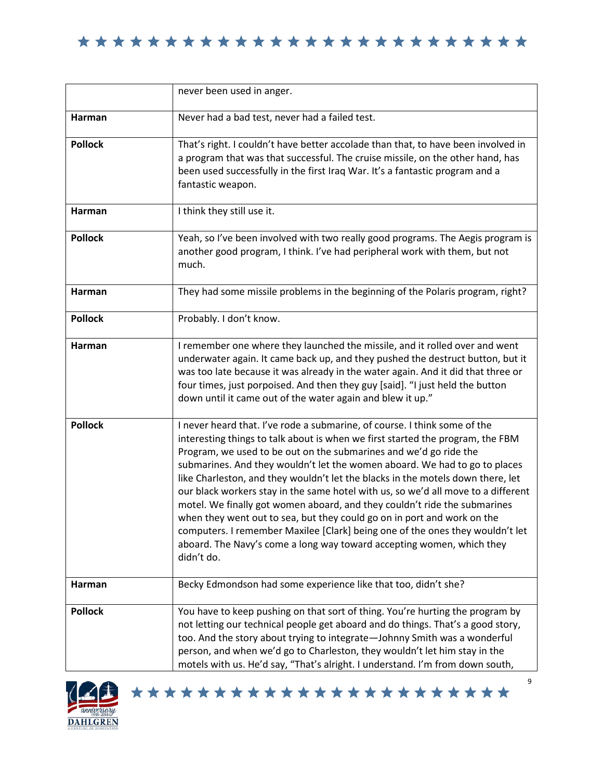|                | never been used in anger.                                                                                                                                                                                                                                                                                                                                                                                                                                                                                                                                                                                                                                                                                                                                                                                              |
|----------------|------------------------------------------------------------------------------------------------------------------------------------------------------------------------------------------------------------------------------------------------------------------------------------------------------------------------------------------------------------------------------------------------------------------------------------------------------------------------------------------------------------------------------------------------------------------------------------------------------------------------------------------------------------------------------------------------------------------------------------------------------------------------------------------------------------------------|
| Harman         | Never had a bad test, never had a failed test.                                                                                                                                                                                                                                                                                                                                                                                                                                                                                                                                                                                                                                                                                                                                                                         |
| <b>Pollock</b> | That's right. I couldn't have better accolade than that, to have been involved in<br>a program that was that successful. The cruise missile, on the other hand, has<br>been used successfully in the first Iraq War. It's a fantastic program and a<br>fantastic weapon.                                                                                                                                                                                                                                                                                                                                                                                                                                                                                                                                               |
| Harman         | I think they still use it.                                                                                                                                                                                                                                                                                                                                                                                                                                                                                                                                                                                                                                                                                                                                                                                             |
| <b>Pollock</b> | Yeah, so I've been involved with two really good programs. The Aegis program is<br>another good program, I think. I've had peripheral work with them, but not<br>much.                                                                                                                                                                                                                                                                                                                                                                                                                                                                                                                                                                                                                                                 |
| Harman         | They had some missile problems in the beginning of the Polaris program, right?                                                                                                                                                                                                                                                                                                                                                                                                                                                                                                                                                                                                                                                                                                                                         |
| <b>Pollock</b> | Probably. I don't know.                                                                                                                                                                                                                                                                                                                                                                                                                                                                                                                                                                                                                                                                                                                                                                                                |
| Harman         | I remember one where they launched the missile, and it rolled over and went<br>underwater again. It came back up, and they pushed the destruct button, but it<br>was too late because it was already in the water again. And it did that three or<br>four times, just porpoised. And then they guy [said]. "I just held the button<br>down until it came out of the water again and blew it up."                                                                                                                                                                                                                                                                                                                                                                                                                       |
| <b>Pollock</b> | I never heard that. I've rode a submarine, of course. I think some of the<br>interesting things to talk about is when we first started the program, the FBM<br>Program, we used to be out on the submarines and we'd go ride the<br>submarines. And they wouldn't let the women aboard. We had to go to places<br>like Charleston, and they wouldn't let the blacks in the motels down there, let<br>our black workers stay in the same hotel with us, so we'd all move to a different<br>motel. We finally got women aboard, and they couldn't ride the submarines<br>when they went out to sea, but they could go on in port and work on the<br>computers. I remember Maxilee [Clark] being one of the ones they wouldn't let<br>aboard. The Navy's come a long way toward accepting women, which they<br>didn't do. |
| Harman         | Becky Edmondson had some experience like that too, didn't she?                                                                                                                                                                                                                                                                                                                                                                                                                                                                                                                                                                                                                                                                                                                                                         |
| <b>Pollock</b> | You have to keep pushing on that sort of thing. You're hurting the program by<br>not letting our technical people get aboard and do things. That's a good story,<br>too. And the story about trying to integrate-Johnny Smith was a wonderful<br>person, and when we'd go to Charleston, they wouldn't let him stay in the<br>motels with us. He'd say, "That's alright. I understand. I'm from down south,                                                                                                                                                                                                                                                                                                                                                                                                            |



9 \*\*\*\*\*\*\*\*\*\*\*\*\*\*\*\*\*\*\*\*\*\*\*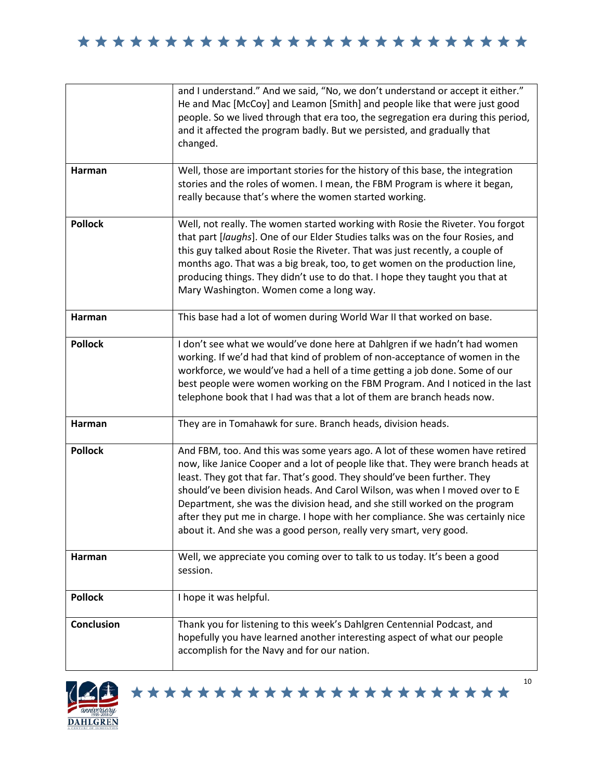| Harman            | and I understand." And we said, "No, we don't understand or accept it either."<br>He and Mac [McCoy] and Leamon [Smith] and people like that were just good<br>people. So we lived through that era too, the segregation era during this period,<br>and it affected the program badly. But we persisted, and gradually that<br>changed.<br>Well, those are important stories for the history of this base, the integration                                                                                                                                         |
|-------------------|--------------------------------------------------------------------------------------------------------------------------------------------------------------------------------------------------------------------------------------------------------------------------------------------------------------------------------------------------------------------------------------------------------------------------------------------------------------------------------------------------------------------------------------------------------------------|
|                   | stories and the roles of women. I mean, the FBM Program is where it began,<br>really because that's where the women started working.                                                                                                                                                                                                                                                                                                                                                                                                                               |
| <b>Pollock</b>    | Well, not really. The women started working with Rosie the Riveter. You forgot<br>that part [laughs]. One of our Elder Studies talks was on the four Rosies, and<br>this guy talked about Rosie the Riveter. That was just recently, a couple of<br>months ago. That was a big break, too, to get women on the production line,<br>producing things. They didn't use to do that. I hope they taught you that at<br>Mary Washington. Women come a long way.                                                                                                         |
| Harman            | This base had a lot of women during World War II that worked on base.                                                                                                                                                                                                                                                                                                                                                                                                                                                                                              |
| <b>Pollock</b>    | I don't see what we would've done here at Dahlgren if we hadn't had women<br>working. If we'd had that kind of problem of non-acceptance of women in the<br>workforce, we would've had a hell of a time getting a job done. Some of our<br>best people were women working on the FBM Program. And I noticed in the last<br>telephone book that I had was that a lot of them are branch heads now.                                                                                                                                                                  |
| Harman            | They are in Tomahawk for sure. Branch heads, division heads.                                                                                                                                                                                                                                                                                                                                                                                                                                                                                                       |
| <b>Pollock</b>    | And FBM, too. And this was some years ago. A lot of these women have retired<br>now, like Janice Cooper and a lot of people like that. They were branch heads at<br>least. They got that far. That's good. They should've been further. They<br>should've been division heads. And Carol Wilson, was when I moved over to E<br>Department, she was the division head, and she still worked on the program<br>after they put me in charge. I hope with her compliance. She was certainly nice<br>about it. And she was a good person, really very smart, very good. |
| Harman            | Well, we appreciate you coming over to talk to us today. It's been a good<br>session.                                                                                                                                                                                                                                                                                                                                                                                                                                                                              |
| <b>Pollock</b>    | I hope it was helpful.                                                                                                                                                                                                                                                                                                                                                                                                                                                                                                                                             |
| <b>Conclusion</b> | Thank you for listening to this week's Dahlgren Centennial Podcast, and<br>hopefully you have learned another interesting aspect of what our people<br>accomplish for the Navy and for our nation.                                                                                                                                                                                                                                                                                                                                                                 |